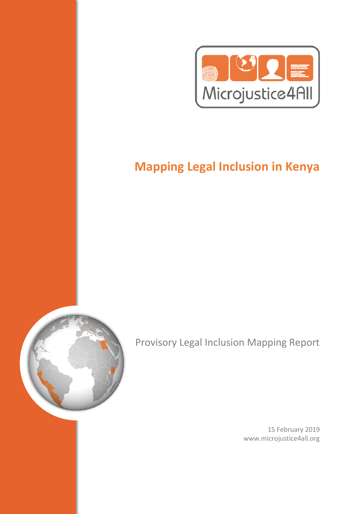

# **Mapping Legal Inclusion in Kenya**



Provisory Legal Inclusion Mapping Report

15 February 2019 www.microjustice4all.org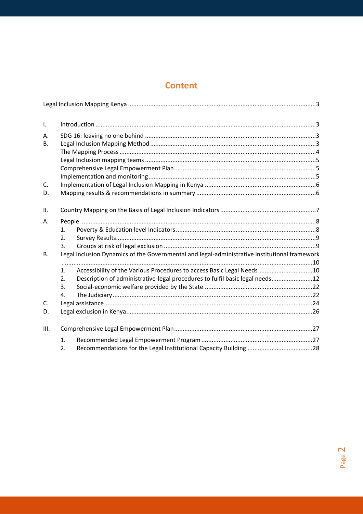# **Content**

| Τ.        |                                                                                               |                                                                              |  |  |  |
|-----------|-----------------------------------------------------------------------------------------------|------------------------------------------------------------------------------|--|--|--|
| Α.        |                                                                                               |                                                                              |  |  |  |
| <b>B.</b> |                                                                                               |                                                                              |  |  |  |
|           |                                                                                               |                                                                              |  |  |  |
|           |                                                                                               |                                                                              |  |  |  |
|           |                                                                                               |                                                                              |  |  |  |
|           |                                                                                               |                                                                              |  |  |  |
| C.        |                                                                                               |                                                                              |  |  |  |
| D.        |                                                                                               |                                                                              |  |  |  |
| ΙΙ.       |                                                                                               |                                                                              |  |  |  |
| Α.        |                                                                                               |                                                                              |  |  |  |
|           | 1.                                                                                            |                                                                              |  |  |  |
|           | 2.                                                                                            |                                                                              |  |  |  |
|           | 3.                                                                                            |                                                                              |  |  |  |
| <b>B.</b> | Legal Inclusion Dynamics of the Governmental and legal-administrative institutional framework |                                                                              |  |  |  |
|           |                                                                                               |                                                                              |  |  |  |
|           | 1.                                                                                            | Accessibility of the Various Procedures to access Basic Legal Needs 10       |  |  |  |
|           | 2.                                                                                            | Description of administrative-legal procedures to fulfil basic legal needs12 |  |  |  |
|           | 3.                                                                                            |                                                                              |  |  |  |
|           | 4.                                                                                            |                                                                              |  |  |  |
| C.        |                                                                                               |                                                                              |  |  |  |
| D.        |                                                                                               |                                                                              |  |  |  |
| III.      |                                                                                               |                                                                              |  |  |  |
|           | 1.                                                                                            |                                                                              |  |  |  |
|           | 2.                                                                                            |                                                                              |  |  |  |

Page 2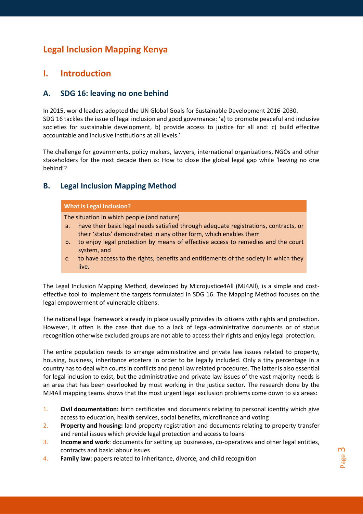# <span id="page-2-0"></span>**Legal Inclusion Mapping Kenya**

## <span id="page-2-1"></span>**I. Introduction**

### <span id="page-2-2"></span>**A. SDG 16: leaving no one behind**

In 2015, world leaders adopted the UN Global Goals for Sustainable Development 2016-2030. SDG 16 tackles the issue of legal inclusion and good governance: 'a) to promote peaceful and inclusive societies for sustainable development, b) provide access to justice for all and: c) build effective accountable and inclusive institutions at all levels.'

The challenge for governments, policy makers, lawyers, international organizations, NGOs and other stakeholders for the next decade then is: How to close the global legal gap while 'leaving no one behind'?

#### <span id="page-2-3"></span>**B. Legal Inclusion Mapping Method**

| What is Legal Inclusion?                   |                                                                                      |  |  |  |  |
|--------------------------------------------|--------------------------------------------------------------------------------------|--|--|--|--|
| The situation in which people (and nature) |                                                                                      |  |  |  |  |
| a.                                         | have their basic legal needs satisfied through adequate registrations, contracts, or |  |  |  |  |
|                                            | their 'status' demonstrated in any other form, which enables them                    |  |  |  |  |

- b. to enjoy legal protection by means of effective access to remedies and the court system, and
- c. to have access to the rights, benefits and entitlements of the society in which they live.

The Legal Inclusion Mapping Method, developed by Microjustice4All (MJ4All), is a simple and costeffective tool to implement the targets formulated in SDG 16. The Mapping Method focuses on the legal empowerment of vulnerable citizens.

The national legal framework already in place usually provides its citizens with rights and protection. However, it often is the case that due to a lack of legal-administrative documents or of status recognition otherwise excluded groups are not able to access their rights and enjoy legal protection.

The entire population needs to arrange administrative and private law issues related to property, housing, business, inheritance etcetera in order to be legally included. Only a tiny percentage in a country has to deal with courts in conflicts and penal law related procedures. The latter is also essential for legal inclusion to exist, but the administrative and private law issues of the vast majority needs is an area that has been overlooked by most working in the justice sector. The research done by the MJ4All mapping teams shows that the most urgent legal exclusion problems come down to six areas:

- 1. **Civil documentation:** birth certificates and documents relating to personal identity which give access to education, health services, social benefits, microfinance and voting
- 2. **Property and housing:** land property registration and documents relating to property transfer and rental issues which provide legal protection and access to loans
- 3. **Income and work**: documents for setting up businesses, co-operatives and other legal entities, contracts and basic labour issues
- 4. **Family law**: papers related to inheritance, divorce, and child recognition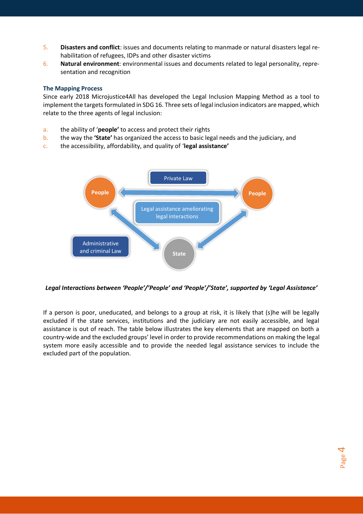- 5. **Disasters and conflict**: issues and documents relating to manmade or natural disasters legal rehabilitation of refugees, IDPs and other disaster victims
- 6. **Natural environment**: environmental issues and documents related to legal personality, representation and recognition

#### <span id="page-3-0"></span>**The Mapping Process**

Since early 2018 Microjustice4All has developed the Legal Inclusion Mapping Method as a tool to implement the targets formulated in SDG 16. Three sets of legal inclusion indicators are mapped, which relate to the three agents of legal inclusion:

- a. the ability of '**people'** to access and protect their rights
- b. the way the **'State'** has organized the access to basic legal needs and the judiciary, and
- c. the accessibility, affordability, and quality of '**legal assistance'**



Legal Interactions between 'People'/'People' and 'People'/'State', supported by 'Legal Assistance'

If a person is poor, uneducated, and belongs to a group at risk, it is likely that (s)he will be legally excluded if the state services, institutions and the judiciary are not easily accessible, and legal assistance is out of reach. The table below illustrates the key elements that are mapped on both a country-wide and the excluded groups' level in order to provide recommendations on making the legal system more easily accessible and to provide the needed legal assistance services to include the excluded part of the population.

> Page 4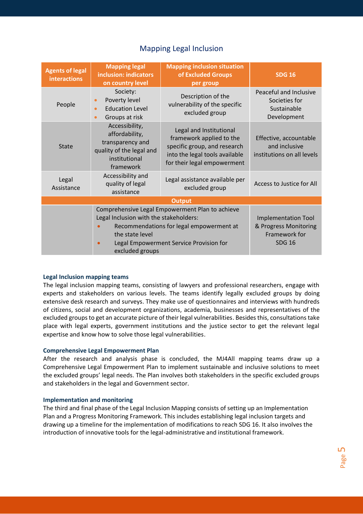| <b>Agents of legal</b><br><b>interactions</b> | <b>Mapping legal</b><br>inclusion: indicators<br>on country level                                                                                                                                                      | <b>Mapping inclusion situation</b><br>of Excluded Groups<br>per group                                                                                | <b>SDG 16</b>                                                         |  |  |  |  |  |
|-----------------------------------------------|------------------------------------------------------------------------------------------------------------------------------------------------------------------------------------------------------------------------|------------------------------------------------------------------------------------------------------------------------------------------------------|-----------------------------------------------------------------------|--|--|--|--|--|
| People                                        | Society:<br>Poverty level<br>$\bullet$<br><b>Education Level</b><br>$\bullet$<br>Groups at risk<br>$\bullet$                                                                                                           | Description of the<br>vulnerability of the specific<br>excluded group                                                                                | Peaceful and Inclusive<br>Societies for<br>Sustainable<br>Development |  |  |  |  |  |
| <b>State</b>                                  | Accessibility,<br>affordability,<br>transparency and<br>quality of the legal and<br>institutional<br>framework                                                                                                         | Legal and Institutional<br>framework applied to the<br>specific group, and research<br>into the legal tools available<br>for their legal empowerment | Effective, accountable<br>and inclusive<br>institutions on all levels |  |  |  |  |  |
| Legal<br>Assistance                           | Accessibility and<br>quality of legal<br>assistance                                                                                                                                                                    | Legal assistance available per<br>excluded group                                                                                                     | Access to Justice for All                                             |  |  |  |  |  |
| <b>Output</b>                                 |                                                                                                                                                                                                                        |                                                                                                                                                      |                                                                       |  |  |  |  |  |
|                                               | Comprehensive Legal Empowerment Plan to achieve<br>Legal Inclusion with the stakeholders:<br>Recommendations for legal empowerment at<br>the state level<br>Legal Empowerment Service Provision for<br>excluded groups |                                                                                                                                                      |                                                                       |  |  |  |  |  |

## Mapping Legal Inclusion

#### <span id="page-4-0"></span>**Legal Inclusion mapping teams**

The legal inclusion mapping teams, consisting of lawyers and professional researchers, engage with experts and stakeholders on various levels. The teams identify legally excluded groups by doing extensive desk research and surveys. They make use of questionnaires and interviews with hundreds of citizens, social and development organizations, academia, businesses and representatives of the excluded groups to get an accurate picture of their legal vulnerabilities. Besides this, consultations take place with legal experts, government institutions and the justice sector to get the relevant legal expertise and know how to solve those legal vulnerabilities.

#### <span id="page-4-1"></span>**Comprehensive Legal Empowerment Plan**

After the research and analysis phase is concluded, the MJ4All mapping teams draw up a Comprehensive Legal Empowerment Plan to implement sustainable and inclusive solutions to meet the excluded groups' legal needs. The Plan involves both stakeholders in the specific excluded groups and stakeholders in the legal and Government sector.

#### <span id="page-4-2"></span>**Implementation and monitoring**

The third and final phase of the Legal Inclusion Mapping consists of setting up an Implementation Plan and a Progress Monitoring Framework. This includes establishing legal inclusion targets and drawing up a timeline for the implementation of modifications to reach SDG 16. It also involves the introduction of innovative tools for the legal-administrative and institutional framework.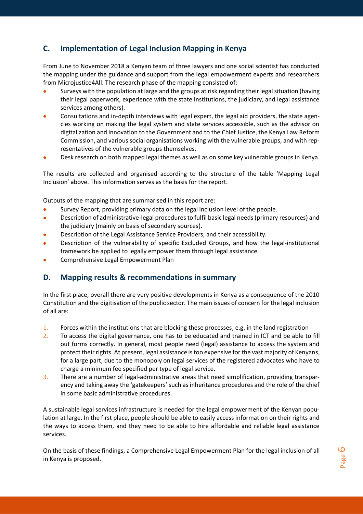## <span id="page-5-0"></span>**C. Implementation of Legal Inclusion Mapping in Kenya**

From June to November 2018 a Kenyan team of three lawyers and one social scientist has conducted the mapping under the guidance and support from the legal empowerment experts and researchers from Microjustice4All. The research phase of the mapping consisted of:

- Surveys with the population at large and the groups at risk regarding their legal situation (having their legal paperwork, experience with the state institutions, the judiciary, and legal assistance services among others).
- Consultations and in-depth interviews with legal expert, the legal aid providers, the state agencies working on making the legal system and state services accessible, such as the advisor on digitalization and innovation to the Government and to the Chief Justice, the Kenya Law Reform Commission, and various social organisations working with the vulnerable groups, and with representatives of the vulnerable groups themselves.
- Desk research on both mapped legal themes as well as on some key vulnerable groups in Kenya.

The results are collected and organised according to the structure of the table 'Mapping Legal Inclusion' above. This information serves as the basis for the report.

Outputs of the mapping that are summarised in this report are:

- Survey Report, providing primary data on the legal inclusion level of the people.
- Description of administrative-legal procedures to fulfil basic legal needs (primary resources) and the judiciary (mainly on basis of secondary sources).
- Description of the Legal Assistance Service Providers, and their accessibility.
- Description of the vulnerability of specific Excluded Groups, and how the legal-institutional framework be applied to legally empower them through legal assistance.
- Comprehensive Legal Empowerment Plan

#### <span id="page-5-1"></span>**D. Mapping results & recommendations in summary**

In the first place, overall there are very positive developments in Kenya as a consequence of the 2010 Constitution and the digitisation of the public sector. The main issues of concern for the legal inclusion of all are:

- 1. Forces within the institutions that are blocking these processes, e.g. in the land registration
- 2. To access the digital governance, one has to be educated and trained in ICT and be able to fill out forms correctly. In general, most people need (legal) assistance to access the system and protect their rights. At present, legal assistance is too expensive for the vast majority of Kenyans, for a large part, due to the monopoly on legal services of the registered advocates who have to charge a minimum fee specified per type of legal service.
- 3. There are a number of legal-administrative areas that need simplification, providing transparency and taking away the 'gatekeepers' such as inheritance procedures and the role of the chief in some basic administrative procedures.

A sustainable legal services infrastructure is needed for the legal empowerment of the Kenyan population at large. In the first place, people should be able to easily access information on their rights and the ways to access them, and they need to be able to hire affordable and reliable legal assistance services.

On the basis of these findings, a Comprehensive Legal Empowerment Plan for the legal inclusion of all in Kenya is proposed.